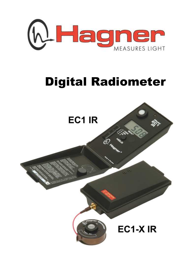

# Digital Radiometer